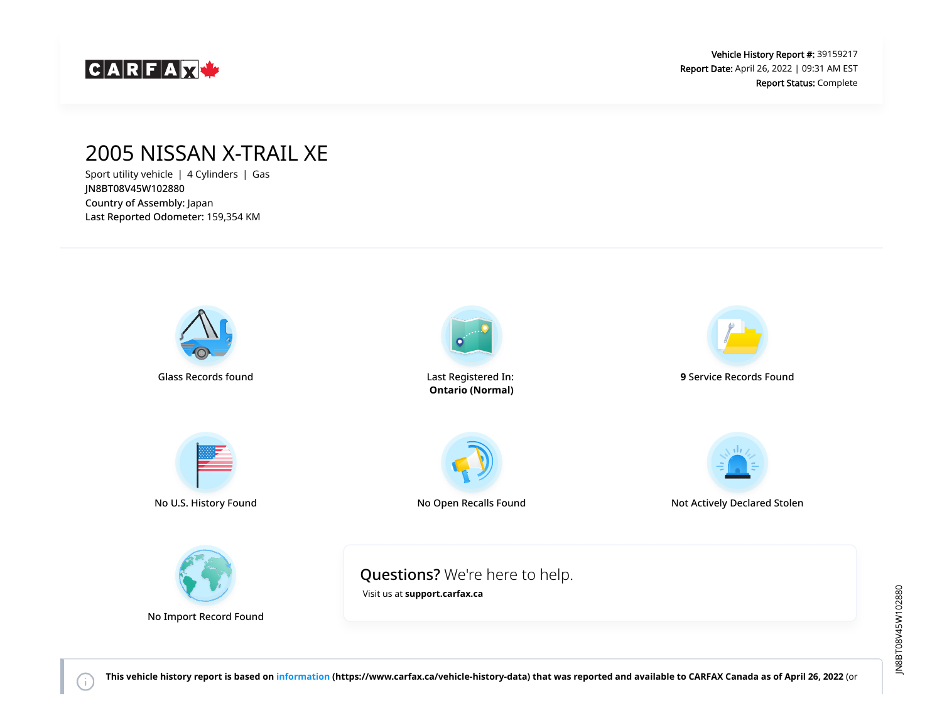

Ħ.

Vehicle History Report #: 39159217 Report Date: April 26, 2022 | 09:31 AM EST Report Status: Complete

## 2005 NISSAN X-TRAIL XE

Sport utility vehicle | 4 Cylinders | Gas JN8BT08V45W102880 Country of Assembly: Japan Last Reported Odometer: 159,354 KM

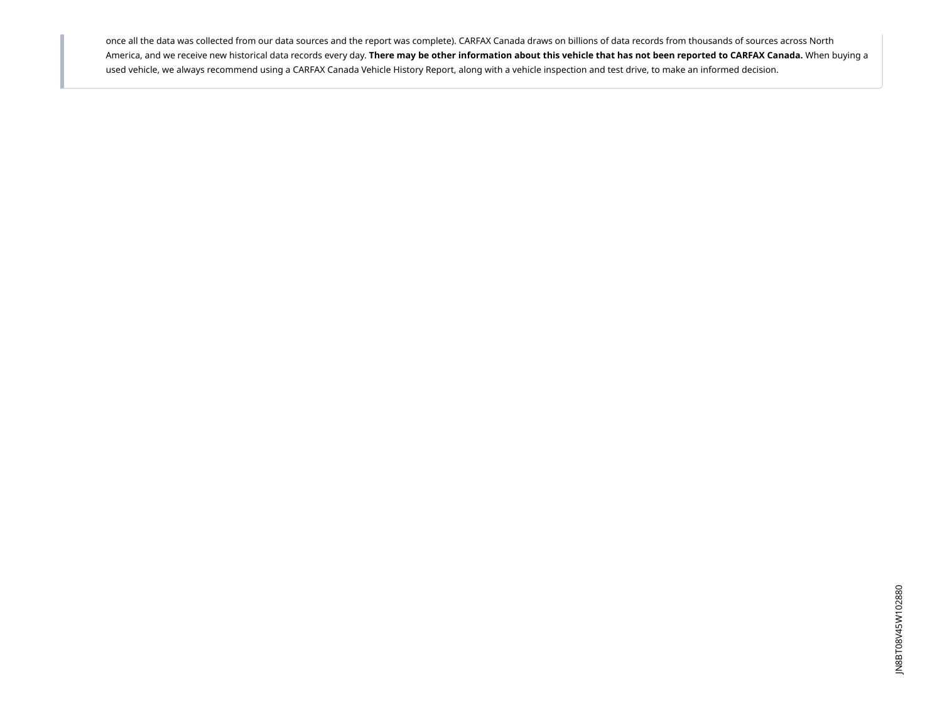once all the data was collected from our data sources and the report was complete). CARFAX Canada draws on billions of data records from thousands of sources across North America, and we receive new historical data records every day. **There may be other information about this vehicle that has not been reported to CARFAX Canada.** When buying a used vehicle, we always recommend using a CARFAX Canada Vehicle History Report, along with a vehicle inspection and test drive, to make an informed decision.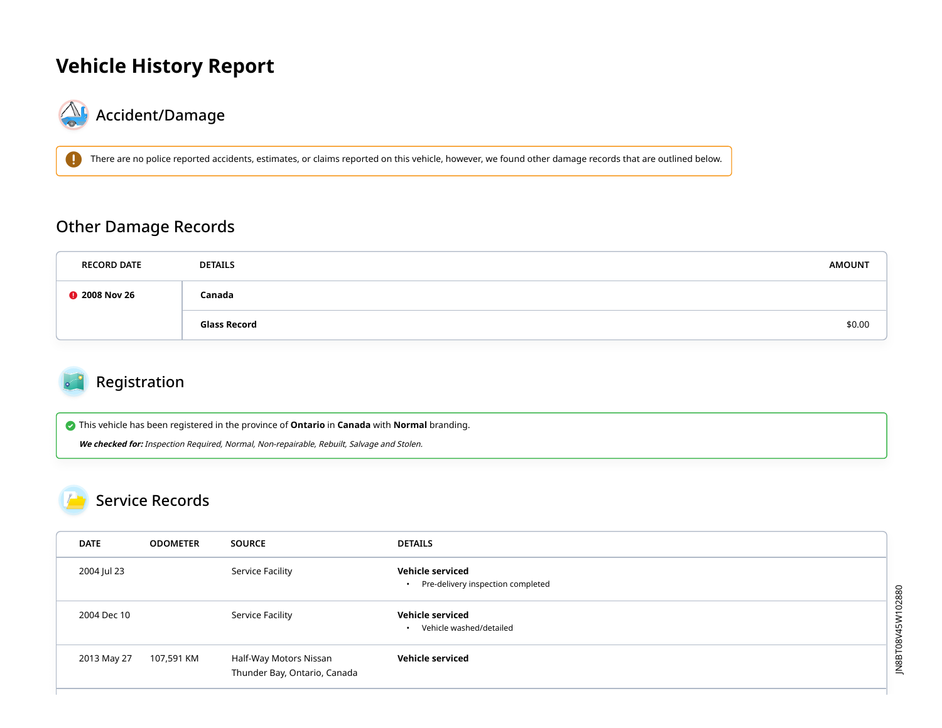# **Vehicle History Report**



There are no police reported accidents, estimates, or claims reported on this vehicle, however, we found other damage records that are outlined below.

#### Other Damage Records

| <b>RECORD DATE</b>   | <b>DETAILS</b> | <b>AMOUNT</b> |
|----------------------|----------------|---------------|
| <b>@ 2008 Nov 26</b> | Canada         |               |
|                      | Glass Record   | \$0.00        |

## Registration

This vehicle has been registered in the province of **Ontario** in **Canada** with **Normal** branding.

**We checked for:** Inspection Required, Normal, Non-repairable, Rebuilt, Salvage and Stolen.

#### Service Records

| <b>DATE</b> | <b>ODOMETER</b> | <b>SOURCE</b>                                          | <b>DETAILS</b>                                                            |
|-------------|-----------------|--------------------------------------------------------|---------------------------------------------------------------------------|
| 2004 Jul 23 |                 | Service Facility                                       | <b>Vehicle serviced</b><br>Pre-delivery inspection completed<br>$\bullet$ |
| 2004 Dec 10 |                 | Service Facility                                       | <b>Vehicle serviced</b><br>Vehicle washed/detailed<br>$\bullet$           |
| 2013 May 27 | 107,591 KM      | Half-Way Motors Nissan<br>Thunder Bay, Ontario, Canada | Vehicle serviced                                                          |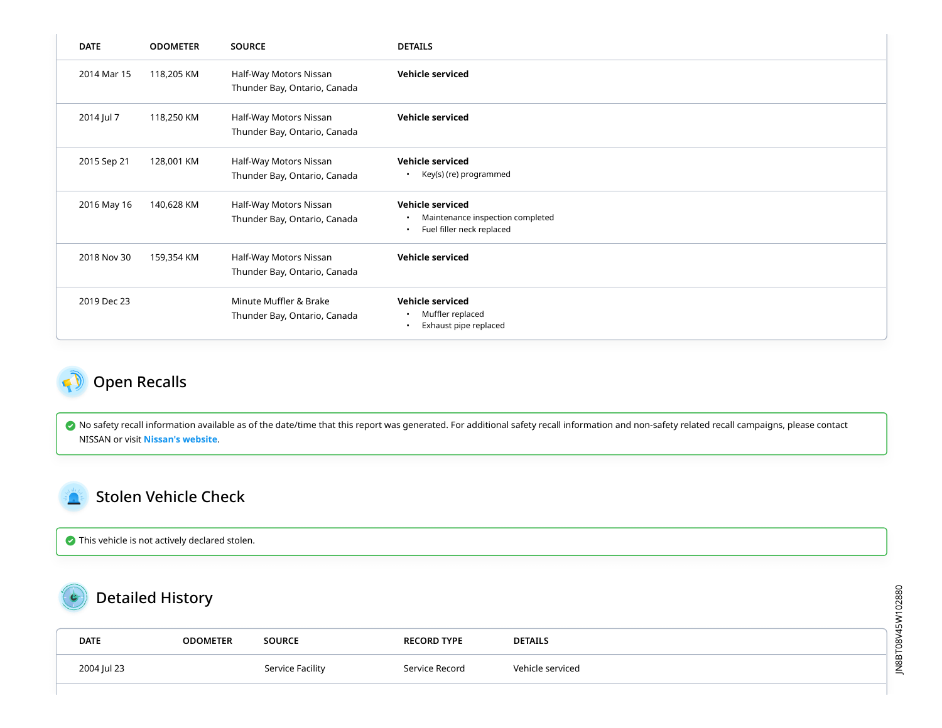| <b>DATE</b> | <b>ODOMETER</b> | <b>SOURCE</b>                                          | <b>DETAILS</b>                                                                    |
|-------------|-----------------|--------------------------------------------------------|-----------------------------------------------------------------------------------|
| 2014 Mar 15 | 118,205 KM      | Half-Way Motors Nissan<br>Thunder Bay, Ontario, Canada | Vehicle serviced                                                                  |
| 2014 Jul 7  | 118,250 KM      | Half-Way Motors Nissan<br>Thunder Bay, Ontario, Canada | Vehicle serviced                                                                  |
| 2015 Sep 21 | 128,001 KM      | Half-Way Motors Nissan<br>Thunder Bay, Ontario, Canada | Vehicle serviced<br>Key(s) (re) programmed                                        |
| 2016 May 16 | 140,628 KM      | Half-Way Motors Nissan<br>Thunder Bay, Ontario, Canada | Vehicle serviced<br>Maintenance inspection completed<br>Fuel filler neck replaced |
| 2018 Nov 30 | 159,354 KM      | Half-Way Motors Nissan<br>Thunder Bay, Ontario, Canada | Vehicle serviced                                                                  |
| 2019 Dec 23 |                 | Minute Muffler & Brake<br>Thunder Bay, Ontario, Canada | Vehicle serviced<br>Muffler replaced<br>Exhaust pipe replaced                     |

# <span id="page-3-0"></span>Open Recalls

 $\bullet$  No safety recall information available as of the date/time that this report was generated. For additional safety recall information and non-safety related recall campaigns, please contact NISSAN or visit **[Nissan's website](https://nna.secure.force.com/support/ContactUsNissan?recallLookup)**.

### <span id="page-3-1"></span>Stolen Vehicle Check

This vehicle is not actively declared stolen.

# Detailed History

| <b>DATE</b> | ODOMETER | SOURCE           | <b>RECORD TYPE</b> | <b>DETAILS</b>   |
|-------------|----------|------------------|--------------------|------------------|
| 2004 Jul 23 |          | Service Facility | Service Record     | Vehicle serviced |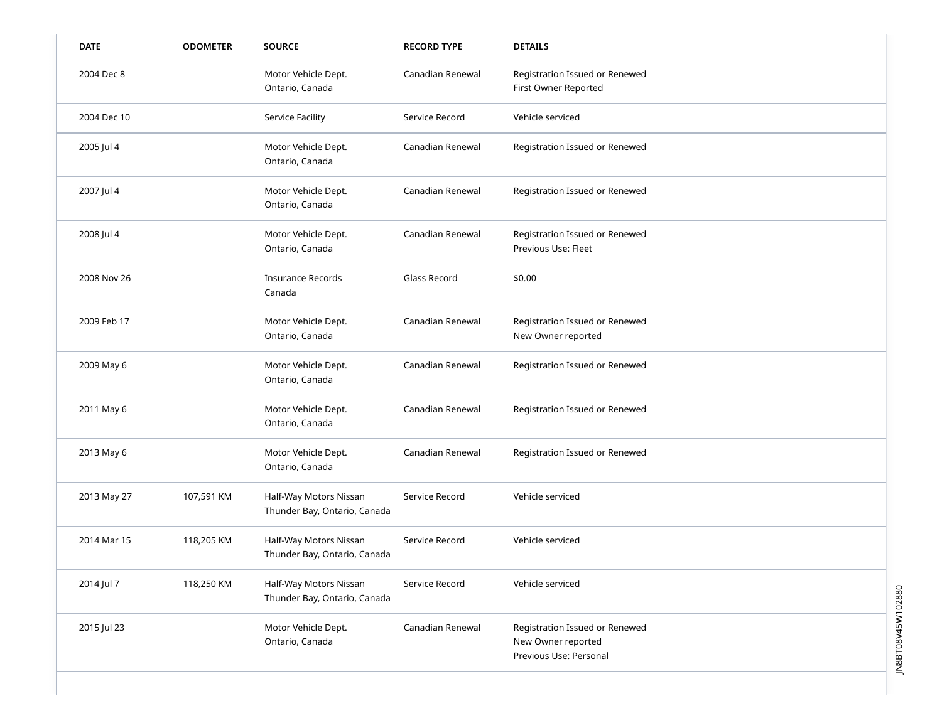| <b>DATE</b> | <b>ODOMETER</b> | <b>SOURCE</b>                                          | <b>RECORD TYPE</b>  | <b>DETAILS</b>                                                                 |                   |
|-------------|-----------------|--------------------------------------------------------|---------------------|--------------------------------------------------------------------------------|-------------------|
| 2004 Dec 8  |                 | Motor Vehicle Dept.<br>Ontario, Canada                 | Canadian Renewal    | Registration Issued or Renewed<br>First Owner Reported                         |                   |
| 2004 Dec 10 |                 | <b>Service Facility</b>                                | Service Record      | Vehicle serviced                                                               |                   |
| 2005 Jul 4  |                 | Motor Vehicle Dept.<br>Ontario, Canada                 | Canadian Renewal    | Registration Issued or Renewed                                                 |                   |
| 2007 Jul 4  |                 | Motor Vehicle Dept.<br>Ontario, Canada                 | Canadian Renewal    | Registration Issued or Renewed                                                 |                   |
| 2008 Jul 4  |                 | Motor Vehicle Dept.<br>Ontario, Canada                 | Canadian Renewal    | Registration Issued or Renewed<br>Previous Use: Fleet                          |                   |
| 2008 Nov 26 |                 | <b>Insurance Records</b><br>Canada                     | <b>Glass Record</b> | \$0.00                                                                         |                   |
| 2009 Feb 17 |                 | Motor Vehicle Dept.<br>Ontario, Canada                 | Canadian Renewal    | Registration Issued or Renewed<br>New Owner reported                           |                   |
| 2009 May 6  |                 | Motor Vehicle Dept.<br>Ontario, Canada                 | Canadian Renewal    | Registration Issued or Renewed                                                 |                   |
| 2011 May 6  |                 | Motor Vehicle Dept.<br>Ontario, Canada                 | Canadian Renewal    | Registration Issued or Renewed                                                 |                   |
| 2013 May 6  |                 | Motor Vehicle Dept.<br>Ontario, Canada                 | Canadian Renewal    | Registration Issued or Renewed                                                 |                   |
| 2013 May 27 | 107,591 KM      | Half-Way Motors Nissan<br>Thunder Bay, Ontario, Canada | Service Record      | Vehicle serviced                                                               |                   |
| 2014 Mar 15 | 118,205 KM      | Half-Way Motors Nissan<br>Thunder Bay, Ontario, Canada | Service Record      | Vehicle serviced                                                               |                   |
| 2014 Jul 7  | 118,250 KM      | Half-Way Motors Nissan<br>Thunder Bay, Ontario, Canada | Service Record      | Vehicle serviced                                                               |                   |
| 2015 Jul 23 |                 | Motor Vehicle Dept.<br>Ontario, Canada                 | Canadian Renewal    | Registration Issued or Renewed<br>New Owner reported<br>Previous Use: Personal | JN8BT08V45W102880 |